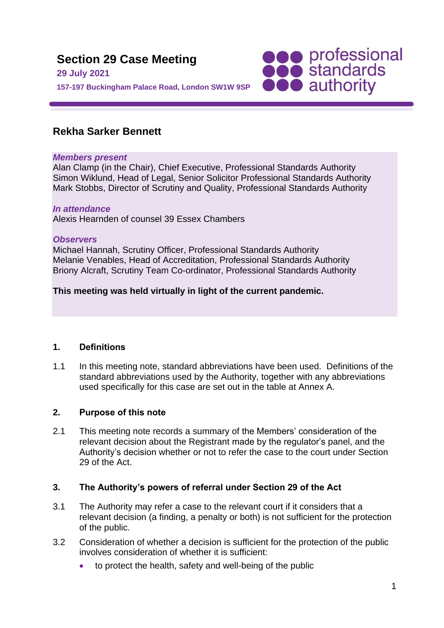

# **Rekha Sarker Bennett**

#### *Members present*

Alan Clamp (in the Chair), Chief Executive, Professional Standards Authority Simon Wiklund, Head of Legal, Senior Solicitor Professional Standards Authority Mark Stobbs, Director of Scrutiny and Quality, Professional Standards Authority

#### *In attendance*

Alexis Hearnden of counsel 39 Essex Chambers

#### *Observers*

Michael Hannah, Scrutiny Officer, Professional Standards Authority Melanie Venables, Head of Accreditation, Professional Standards Authority Briony Alcraft, Scrutiny Team Co-ordinator, Professional Standards Authority

# **This meeting was held virtually in light of the current pandemic.**

### **1. Definitions**

1.1 In this meeting note, standard abbreviations have been used. Definitions of the standard abbreviations used by the Authority, together with any abbreviations used specifically for this case are set out in the table at Annex A.

# **2. Purpose of this note**

2.1 This meeting note records a summary of the Members' consideration of the relevant decision about the Registrant made by the regulator's panel, and the Authority's decision whether or not to refer the case to the court under Section 29 of the Act.

# **3. The Authority's powers of referral under Section 29 of the Act**

- 3.1 The Authority may refer a case to the relevant court if it considers that a relevant decision (a finding, a penalty or both) is not sufficient for the protection of the public.
- 3.2 Consideration of whether a decision is sufficient for the protection of the public involves consideration of whether it is sufficient:
	- to protect the health, safety and well-being of the public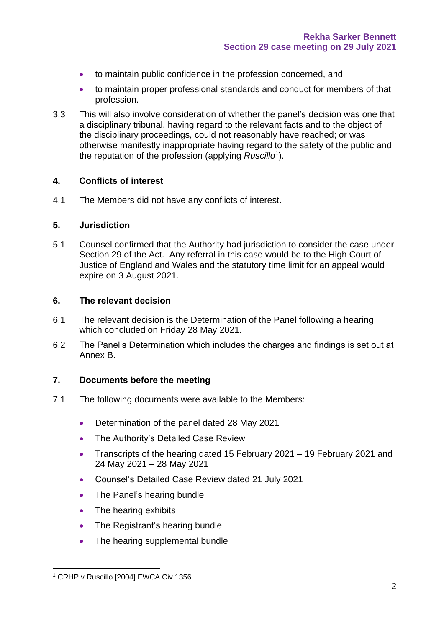- to maintain public confidence in the profession concerned, and
- to maintain proper professional standards and conduct for members of that profession.
- 3.3 This will also involve consideration of whether the panel's decision was one that a disciplinary tribunal, having regard to the relevant facts and to the object of the disciplinary proceedings, could not reasonably have reached; or was otherwise manifestly inappropriate having regard to the safety of the public and the reputation of the profession (applying *Ruscillo*<sup>1</sup> ).

#### **4. Conflicts of interest**

4.1 The Members did not have any conflicts of interest.

#### **5. Jurisdiction**

5.1 Counsel confirmed that the Authority had jurisdiction to consider the case under Section 29 of the Act. Any referral in this case would be to the High Court of Justice of England and Wales and the statutory time limit for an appeal would expire on 3 August 2021.

#### **6. The relevant decision**

- 6.1 The relevant decision is the Determination of the Panel following a hearing which concluded on Friday 28 May 2021.
- 6.2 The Panel's Determination which includes the charges and findings is set out at Annex B.

### **7. Documents before the meeting**

- 7.1 The following documents were available to the Members:
	- Determination of the panel dated 28 May 2021
	- The Authority's Detailed Case Review
	- Transcripts of the hearing dated 15 February 2021 19 February 2021 and 24 May 2021 – 28 May 2021
	- Counsel's Detailed Case Review dated 21 July 2021
	- The Panel's hearing bundle
	- The hearing exhibits
	- The Registrant's hearing bundle
	- The hearing supplemental bundle

<sup>&</sup>lt;sup>1</sup> CRHP v Ruscillo [2004] EWCA Civ 1356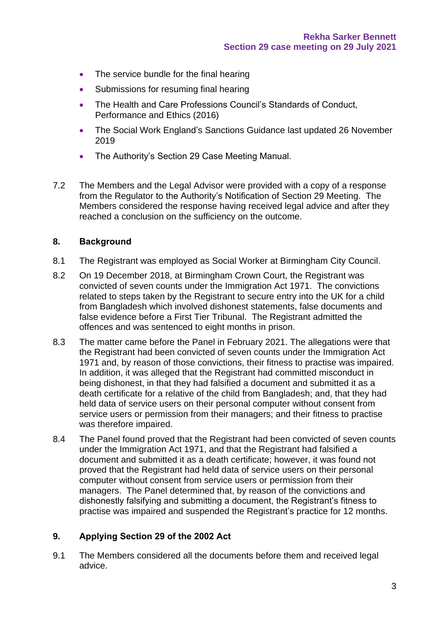- The service bundle for the final hearing
- Submissions for resuming final hearing
- The Health and Care Professions Council's Standards of Conduct, Performance and Ethics (2016)
- The Social Work England's Sanctions Guidance last updated 26 November 2019
- The Authority's Section 29 Case Meeting Manual.
- 7.2 The Members and the Legal Advisor were provided with a copy of a response from the Regulator to the Authority's Notification of Section 29 Meeting. The Members considered the response having received legal advice and after they reached a conclusion on the sufficiency on the outcome.

# **8. Background**

- 8.1 The Registrant was employed as Social Worker at Birmingham City Council.
- 8.2 On 19 December 2018, at Birmingham Crown Court, the Registrant was convicted of seven counts under the Immigration Act 1971. The convictions related to steps taken by the Registrant to secure entry into the UK for a child from Bangladesh which involved dishonest statements, false documents and false evidence before a First Tier Tribunal. The Registrant admitted the offences and was sentenced to eight months in prison.
- 8.3 The matter came before the Panel in February 2021. The allegations were that the Registrant had been convicted of seven counts under the Immigration Act 1971 and, by reason of those convictions, their fitness to practise was impaired. In addition, it was alleged that the Registrant had committed misconduct in being dishonest, in that they had falsified a document and submitted it as a death certificate for a relative of the child from Bangladesh; and, that they had held data of service users on their personal computer without consent from service users or permission from their managers; and their fitness to practise was therefore impaired.
- 8.4 The Panel found proved that the Registrant had been convicted of seven counts under the Immigration Act 1971, and that the Registrant had falsified a document and submitted it as a death certificate; however, it was found not proved that the Registrant had held data of service users on their personal computer without consent from service users or permission from their managers. The Panel determined that, by reason of the convictions and dishonestly falsifying and submitting a document, the Registrant's fitness to practise was impaired and suspended the Registrant's practice for 12 months.

### **9. Applying Section 29 of the 2002 Act**

9.1 The Members considered all the documents before them and received legal advice.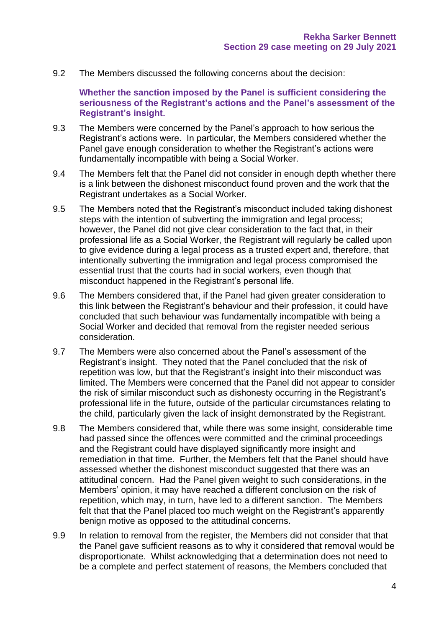9.2 The Members discussed the following concerns about the decision:

**Whether the sanction imposed by the Panel is sufficient considering the seriousness of the Registrant's actions and the Panel's assessment of the Registrant's insight.** 

- 9.3 The Members were concerned by the Panel's approach to how serious the Registrant's actions were. In particular, the Members considered whether the Panel gave enough consideration to whether the Registrant's actions were fundamentally incompatible with being a Social Worker.
- 9.4 The Members felt that the Panel did not consider in enough depth whether there is a link between the dishonest misconduct found proven and the work that the Registrant undertakes as a Social Worker.
- 9.5 The Members noted that the Registrant's misconduct included taking dishonest steps with the intention of subverting the immigration and legal process: however, the Panel did not give clear consideration to the fact that, in their professional life as a Social Worker, the Registrant will regularly be called upon to give evidence during a legal process as a trusted expert and, therefore, that intentionally subverting the immigration and legal process compromised the essential trust that the courts had in social workers, even though that misconduct happened in the Registrant's personal life.
- 9.6 The Members considered that, if the Panel had given greater consideration to this link between the Registrant's behaviour and their profession, it could have concluded that such behaviour was fundamentally incompatible with being a Social Worker and decided that removal from the register needed serious consideration.
- 9.7 The Members were also concerned about the Panel's assessment of the Registrant's insight. They noted that the Panel concluded that the risk of repetition was low, but that the Registrant's insight into their misconduct was limited. The Members were concerned that the Panel did not appear to consider the risk of similar misconduct such as dishonesty occurring in the Registrant's professional life in the future, outside of the particular circumstances relating to the child, particularly given the lack of insight demonstrated by the Registrant.
- 9.8 The Members considered that, while there was some insight, considerable time had passed since the offences were committed and the criminal proceedings and the Registrant could have displayed significantly more insight and remediation in that time. Further, the Members felt that the Panel should have assessed whether the dishonest misconduct suggested that there was an attitudinal concern. Had the Panel given weight to such considerations, in the Members' opinion, it may have reached a different conclusion on the risk of repetition, which may, in turn, have led to a different sanction. The Members felt that that the Panel placed too much weight on the Registrant's apparently benign motive as opposed to the attitudinal concerns.
- 9.9 In relation to removal from the register, the Members did not consider that that the Panel gave sufficient reasons as to why it considered that removal would be disproportionate. Whilst acknowledging that a determination does not need to be a complete and perfect statement of reasons, the Members concluded that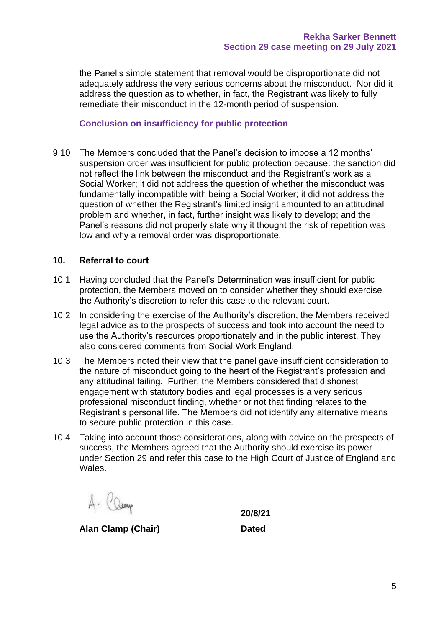the Panel's simple statement that removal would be disproportionate did not adequately address the very serious concerns about the misconduct. Nor did it address the question as to whether, in fact, the Registrant was likely to fully remediate their misconduct in the 12-month period of suspension.

## **Conclusion on insufficiency for public protection**

9.10 The Members concluded that the Panel's decision to impose a 12 months' suspension order was insufficient for public protection because: the sanction did not reflect the link between the misconduct and the Registrant's work as a Social Worker; it did not address the question of whether the misconduct was fundamentally incompatible with being a Social Worker; it did not address the question of whether the Registrant's limited insight amounted to an attitudinal problem and whether, in fact, further insight was likely to develop; and the Panel's reasons did not properly state why it thought the risk of repetition was low and why a removal order was disproportionate.

# **10. Referral to court**

- 10.1 Having concluded that the Panel's Determination was insufficient for public protection, the Members moved on to consider whether they should exercise the Authority's discretion to refer this case to the relevant court.
- 10.2 In considering the exercise of the Authority's discretion, the Members received legal advice as to the prospects of success and took into account the need to use the Authority's resources proportionately and in the public interest. They also considered comments from Social Work England.
- 10.3 The Members noted their view that the panel gave insufficient consideration to the nature of misconduct going to the heart of the Registrant's profession and any attitudinal failing. Further, the Members considered that dishonest engagement with statutory bodies and legal processes is a very serious professional misconduct finding, whether or not that finding relates to the Registrant's personal life. The Members did not identify any alternative means to secure public protection in this case.
- 10.4 Taking into account those considerations, along with advice on the prospects of success, the Members agreed that the Authority should exercise its power under Section 29 and refer this case to the High Court of Justice of England and Wales.

A- Camp

**Alan Clamp (Chair) Dated**

**20/8/21**